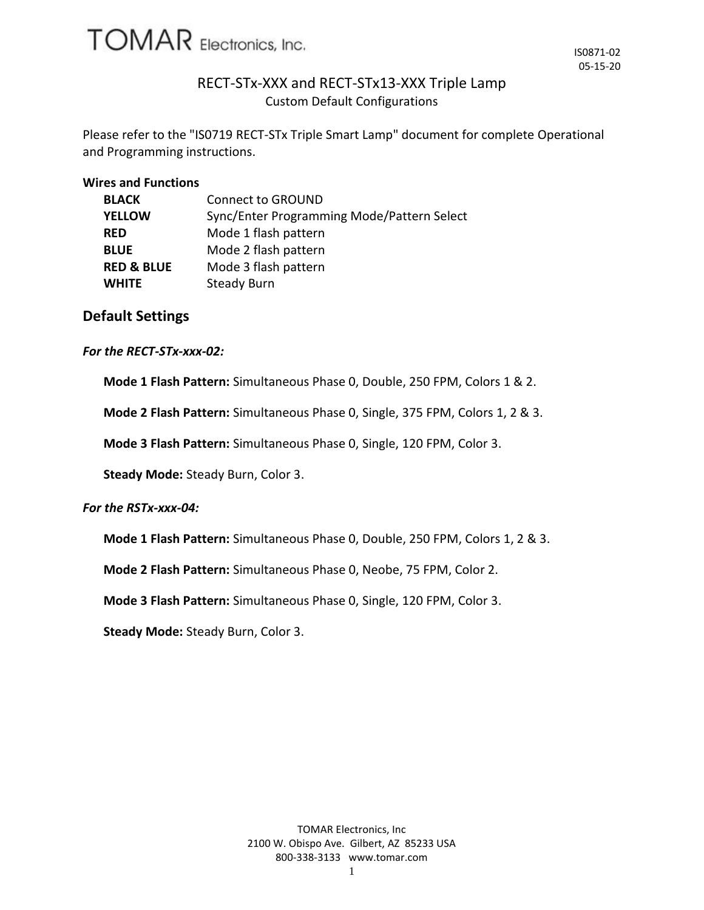

# RECT-STx-XXX and RECT-STx13-XXX Triple Lamp Custom Default Configurations

Please refer to the "IS0719 RECT-STx Triple Smart Lamp" document for complete Operational and Programming instructions.

#### **Wires and Functions**

| <b>BLACK</b>          | <b>Connect to GROUND</b>                   |  |  |
|-----------------------|--------------------------------------------|--|--|
| <b>YELLOW</b>         | Sync/Enter Programming Mode/Pattern Select |  |  |
| <b>RED</b>            | Mode 1 flash pattern                       |  |  |
| <b>BLUE</b>           | Mode 2 flash pattern                       |  |  |
| <b>RED &amp; BLUE</b> | Mode 3 flash pattern                       |  |  |
| <b>WHITE</b>          | <b>Steady Burn</b>                         |  |  |

# **Default Settings**

#### *For the RECT-STx-xxx-02:*

**Mode 1 Flash Pattern:** Simultaneous Phase 0, Double, 250 FPM, Colors 1 & 2.

**Mode 2 Flash Pattern:** Simultaneous Phase 0, Single, 375 FPM, Colors 1, 2 & 3.

**Mode 3 Flash Pattern:** Simultaneous Phase 0, Single, 120 FPM, Color 3.

**Steady Mode:** Steady Burn, Color 3.

#### *For the RSTx-xxx-04:*

**Mode 1 Flash Pattern:** Simultaneous Phase 0, Double, 250 FPM, Colors 1, 2 & 3.

**Mode 2 Flash Pattern:** Simultaneous Phase 0, Neobe, 75 FPM, Color 2.

**Mode 3 Flash Pattern:** Simultaneous Phase 0, Single, 120 FPM, Color 3.

**Steady Mode:** Steady Burn, Color 3.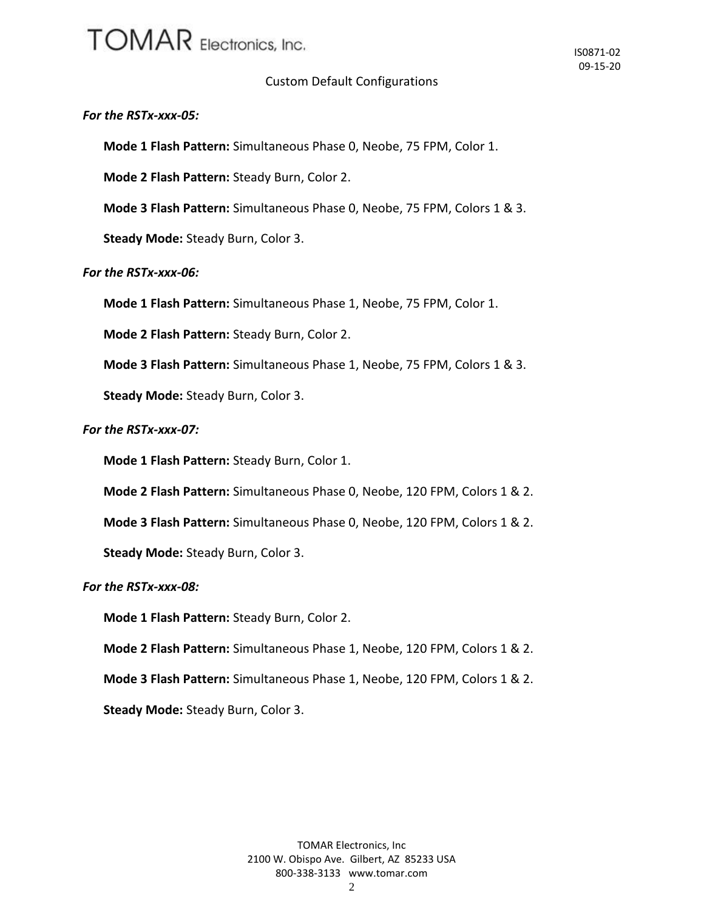# **TOMAR** Electronics, Inc.

# Custom Default Configurations

### *For the RSTx-xxx-05:*

**Mode 1 Flash Pattern:** Simultaneous Phase 0, Neobe, 75 FPM, Color 1.

**Mode 2 Flash Pattern:** Steady Burn, Color 2.

**Mode 3 Flash Pattern:** Simultaneous Phase 0, Neobe, 75 FPM, Colors 1 & 3.

**Steady Mode:** Steady Burn, Color 3.

## *For the RSTx-xxx-06:*

**Mode 1 Flash Pattern:** Simultaneous Phase 1, Neobe, 75 FPM, Color 1.

**Mode 2 Flash Pattern:** Steady Burn, Color 2.

**Mode 3 Flash Pattern:** Simultaneous Phase 1, Neobe, 75 FPM, Colors 1 & 3.

**Steady Mode:** Steady Burn, Color 3.

### *For the RSTx-xxx-07:*

**Mode 1 Flash Pattern:** Steady Burn, Color 1.

**Mode 2 Flash Pattern:** Simultaneous Phase 0, Neobe, 120 FPM, Colors 1 & 2.

**Mode 3 Flash Pattern:** Simultaneous Phase 0, Neobe, 120 FPM, Colors 1 & 2.

**Steady Mode:** Steady Burn, Color 3.

*For the RSTx-xxx-08:*

**Mode 1 Flash Pattern:** Steady Burn, Color 2.

**Mode 2 Flash Pattern:** Simultaneous Phase 1, Neobe, 120 FPM, Colors 1 & 2.

**Mode 3 Flash Pattern:** Simultaneous Phase 1, Neobe, 120 FPM, Colors 1 & 2.

**Steady Mode:** Steady Burn, Color 3.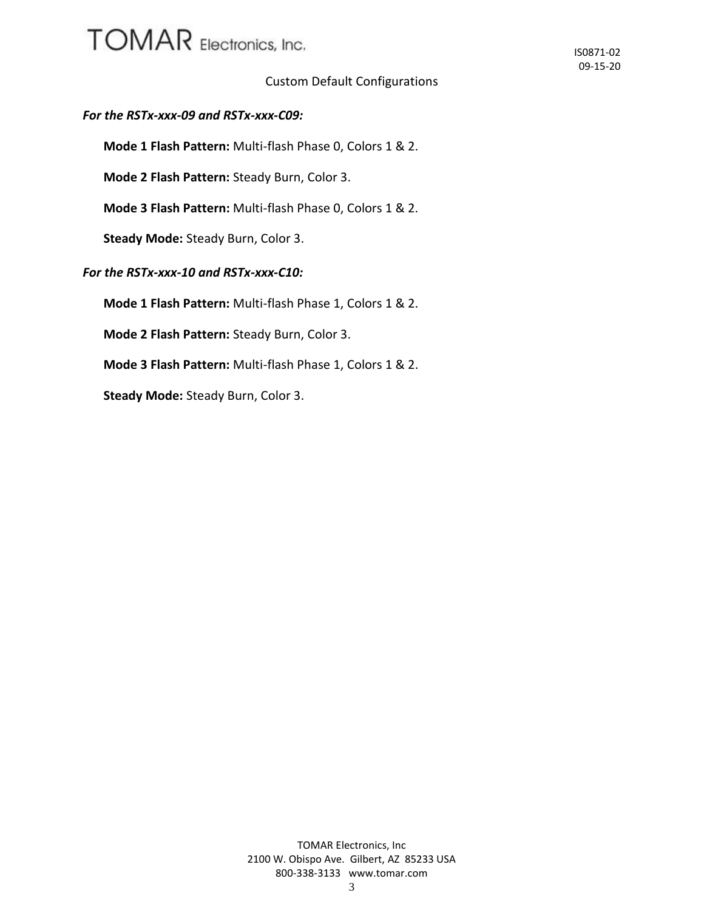# **TOMAR** Electronics, Inc.

# Custom Default Configurations

# *For the RSTx-xxx-09 and RSTx-xxx-C09:*

**Mode 1 Flash Pattern:** Multi-flash Phase 0, Colors 1 & 2.

**Mode 2 Flash Pattern:** Steady Burn, Color 3.

**Mode 3 Flash Pattern:** Multi-flash Phase 0, Colors 1 & 2.

**Steady Mode:** Steady Burn, Color 3.

# *For the RSTx-xxx-10 and RSTx-xxx-C10:*

**Mode 1 Flash Pattern:** Multi-flash Phase 1, Colors 1 & 2.

**Mode 2 Flash Pattern:** Steady Burn, Color 3.

**Mode 3 Flash Pattern:** Multi-flash Phase 1, Colors 1 & 2.

**Steady Mode:** Steady Burn, Color 3.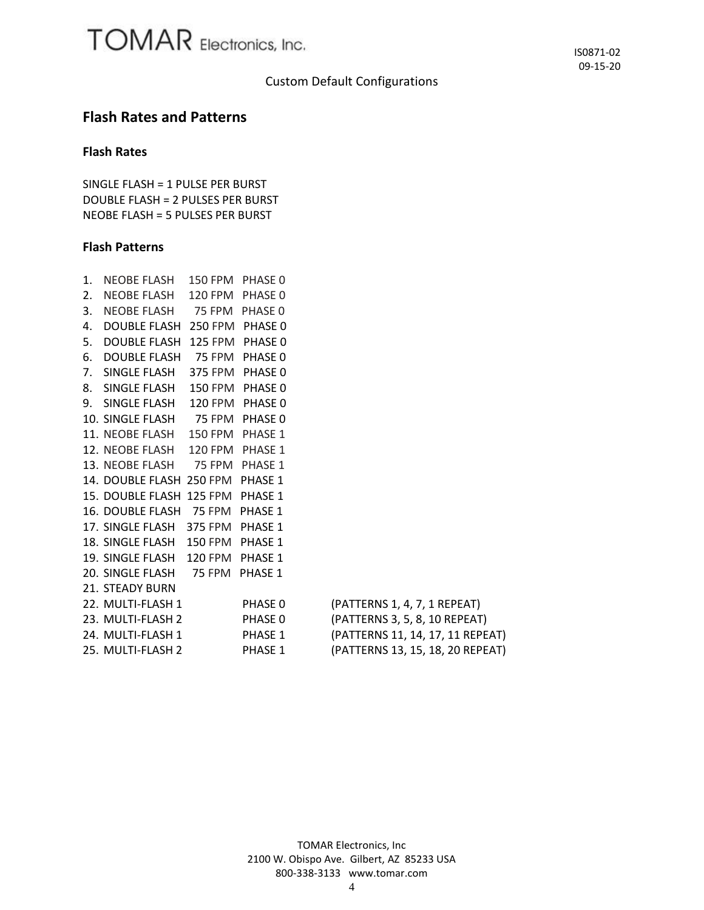## Custom Default Configurations

# **Flash Rates and Patterns**

## **Flash Rates**

SINGLE FLASH = 1 PULSE PER BURST DOUBLE FLASH = 2 PULSES PER BURST NEOBE FLASH = 5 PULSES PER BURST

#### **Flash Patterns**

| 1. | NEOBE FLASH 150 FPM PHASE 0      |                 |         |                                  |
|----|----------------------------------|-----------------|---------|----------------------------------|
| 2. | NEOBE FLASH                      | 120 FPM PHASE 0 |         |                                  |
| 3. | NEOBE FLASH 75 FPM PHASE 0       |                 |         |                                  |
| 4. | DOUBLE FLASH 250 FPM PHASE 0     |                 |         |                                  |
| 5. | DOUBLE FLASH 125 FPM PHASE 0     |                 |         |                                  |
| 6. | DOUBLE FLASH 75 FPM PHASE 0      |                 |         |                                  |
|    | 7. SINGLE FLASH 375 FPM PHASE 0  |                 |         |                                  |
|    | 8. SINGLE FLASH 150 FPM PHASE 0  |                 |         |                                  |
|    | 9. SINGLE FLASH 120 FPM PHASE 0  |                 |         |                                  |
|    | 10. SINGLE FLASH 75 FPM PHASE 0  |                 |         |                                  |
|    | 11. NEOBE FLASH 150 FPM PHASE 1  |                 |         |                                  |
|    | 12. NEOBE FLASH 120 FPM PHASE 1  |                 |         |                                  |
|    | 13. NEOBE FLASH 75 FPM PHASE 1   |                 |         |                                  |
|    | 14. DOUBLE FLASH 250 FPM PHASE 1 |                 |         |                                  |
|    | 15. DOUBLE FLASH 125 FPM PHASE 1 |                 |         |                                  |
|    | 16. DOUBLE FLASH 75 FPM PHASE 1  |                 |         |                                  |
|    | 17. SINGLE FLASH 375 FPM PHASE 1 |                 |         |                                  |
|    | 18. SINGLE FLASH 150 FPM PHASE 1 |                 |         |                                  |
|    | 19. SINGLE FLASH 120 FPM PHASE 1 |                 |         |                                  |
|    | 20. SINGLE FLASH 75 FPM PHASE 1  |                 |         |                                  |
|    | 21. STEADY BURN                  |                 |         |                                  |
|    | 22. MULTI-FLASH 1                |                 | PHASE 0 | (PATTERNS 1, 4, 7, 1 REPEAT)     |
|    | 23. MULTI-FLASH 2                |                 | PHASE 0 | (PATTERNS 3, 5, 8, 10 REPEAT)    |
|    | 24. MULTI-FLASH 1 PHASE 1        |                 |         | (PATTERNS 11, 14, 17, 11 REPEAT) |
|    | 25. MULTI-FLASH 2                |                 | PHASE 1 | (PATTERNS 13, 15, 18, 20 REPEAT) |

TOMAR Electronics, Inc 2100 W. Obispo Ave. Gilbert, AZ 85233 USA 800-338-3133 www.tomar.com